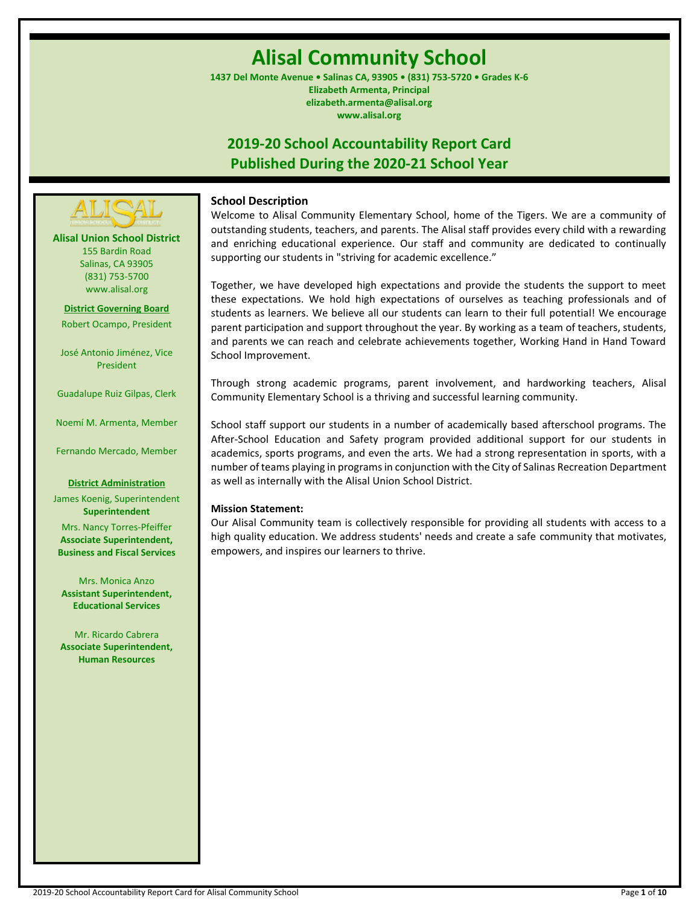# **Alisal Community School**

**1437 Del Monte Avenue • Salinas CA, 93905 • (831) 753-5720 • Grades K-6 Elizabeth Armenta, Principal elizabeth.armenta@alisal.org www.alisal.org**

## **2019-20 School Accountability Report Card Published During the 2020-21 School Year**



**Alisal Union School District** 155 Bardin Road Salinas, CA 93905 (831) 753-5700 www.alisal.org

**District Governing Board** Robert Ocampo, President

José Antonio Jiménez, Vice President

Guadalupe Ruiz Gilpas, Clerk

Noemí M. Armenta, Member

Fernando Mercado, Member

#### **District Administration**

James Koenig, Superintendent **Superintendent**

Mrs. Nancy Torres-Pfeiffer **Associate Superintendent, Business and Fiscal Services**

Mrs. Monica Anzo **Assistant Superintendent, Educational Services**

Mr. Ricardo Cabrera **Associate Superintendent, Human Resources**

## **School Description**

Welcome to Alisal Community Elementary School, home of the Tigers. We are a community of outstanding students, teachers, and parents. The Alisal staff provides every child with a rewarding and enriching educational experience. Our staff and community are dedicated to continually supporting our students in "striving for academic excellence."

Together, we have developed high expectations and provide the students the support to meet these expectations. We hold high expectations of ourselves as teaching professionals and of students as learners. We believe all our students can learn to their full potential! We encourage parent participation and support throughout the year. By working as a team of teachers, students, and parents we can reach and celebrate achievements together, Working Hand in Hand Toward School Improvement.

Through strong academic programs, parent involvement, and hardworking teachers, Alisal Community Elementary School is a thriving and successful learning community.

School staff support our students in a number of academically based afterschool programs. The After-School Education and Safety program provided additional support for our students in academics, sports programs, and even the arts. We had a strong representation in sports, with a number of teams playing in programs in conjunction with the City of Salinas Recreation Department as well as internally with the Alisal Union School District.

#### **Mission Statement:**

Our Alisal Community team is collectively responsible for providing all students with access to a high quality education. We address students' needs and create a safe community that motivates, empowers, and inspires our learners to thrive.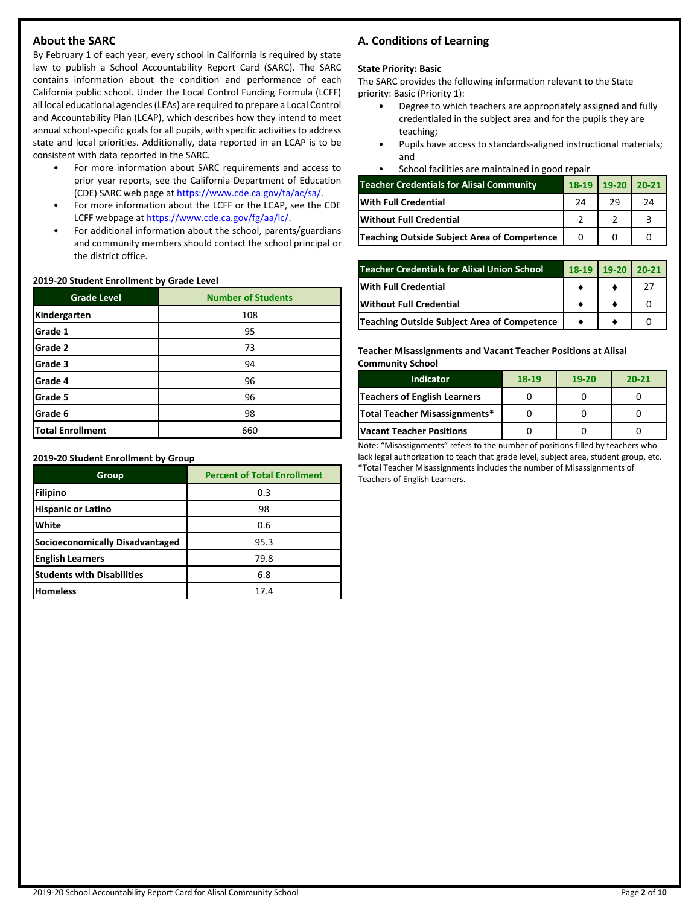## **About the SARC**

By February 1 of each year, every school in California is required by state law to publish a School Accountability Report Card (SARC). The SARC contains information about the condition and performance of each California public school. Under the Local Control Funding Formula (LCFF) all local educational agencies (LEAs) are required to prepare a Local Control and Accountability Plan (LCAP), which describes how they intend to meet annual school-specific goals for all pupils, with specific activities to address state and local priorities. Additionally, data reported in an LCAP is to be consistent with data reported in the SARC.

- For more information about SARC requirements and access to prior year reports, see the California Department of Education (CDE) SARC web page at [https://www.cde.ca.gov/ta/ac/sa/.](https://www.cde.ca.gov/ta/ac/sa/)
- For more information about the LCFF or the LCAP, see the CDE LCFF webpage a[t https://www.cde.ca.gov/fg/aa/lc/.](https://www.cde.ca.gov/fg/aa/lc/)
- For additional information about the school, parents/guardians and community members should contact the school principal or the district office.

#### **2019-20 Student Enrollment by Grade Level**

| <b>Grade Level</b>      | <b>Number of Students</b> |  |  |  |
|-------------------------|---------------------------|--|--|--|
| Kindergarten            | 108                       |  |  |  |
| Grade 1                 | 95                        |  |  |  |
| Grade 2                 | 73                        |  |  |  |
| Grade 3                 | 94                        |  |  |  |
| Grade 4                 | 96                        |  |  |  |
| Grade 5                 | 96                        |  |  |  |
| Grade 6                 | 98                        |  |  |  |
| <b>Total Enrollment</b> | 660                       |  |  |  |

**2019-20 Student Enrollment by Group**

| Group                             | <b>Percent of Total Enrollment</b> |  |  |
|-----------------------------------|------------------------------------|--|--|
| Filipino                          | 0.3                                |  |  |
| <b>Hispanic or Latino</b>         | 98                                 |  |  |
| White                             | 0.6                                |  |  |
| Socioeconomically Disadvantaged   | 95.3                               |  |  |
| <b>English Learners</b>           | 79.8                               |  |  |
| <b>Students with Disabilities</b> | 6.8                                |  |  |
| <b>Homeless</b>                   | 17.4                               |  |  |

## **A. Conditions of Learning**

#### **State Priority: Basic**

The SARC provides the following information relevant to the State priority: Basic (Priority 1):

- Degree to which teachers are appropriately assigned and fully credentialed in the subject area and for the pupils they are teaching;
- Pupils have access to standards-aligned instructional materials; and
- School facilities are maintained in good repair

| <b>Teacher Credentials for Alisal Community</b> | 18-19 | $19-20$ 20-21 |    |
|-------------------------------------------------|-------|---------------|----|
| <b>IWith Full Credential</b>                    | 24    | 29            | 24 |
| <b>Without Full Credential</b>                  |       |               |    |
| Teaching Outside Subject Area of Competence     |       |               |    |

| <b>Teacher Credentials for Alisal Union School</b> |  | $18-19$ 19-20 | $20-21$ |
|----------------------------------------------------|--|---------------|---------|
| With Full Credential                               |  |               |         |
| Without Full Credential                            |  |               |         |
| Teaching Outside Subject Area of Competence        |  |               |         |

#### **Teacher Misassignments and Vacant Teacher Positions at Alisal Community School**

| Indicator                           | 18-19 | $19 - 20$ | $20 - 21$ |
|-------------------------------------|-------|-----------|-----------|
| <b>Teachers of English Learners</b> |       |           |           |
| Total Teacher Misassignments*       |       |           |           |
| <b>Vacant Teacher Positions</b>     |       |           |           |

Note: "Misassignments" refers to the number of positions filled by teachers who lack legal authorization to teach that grade level, subject area, student group, etc. \*Total Teacher Misassignments includes the number of Misassignments of Teachers of English Learners.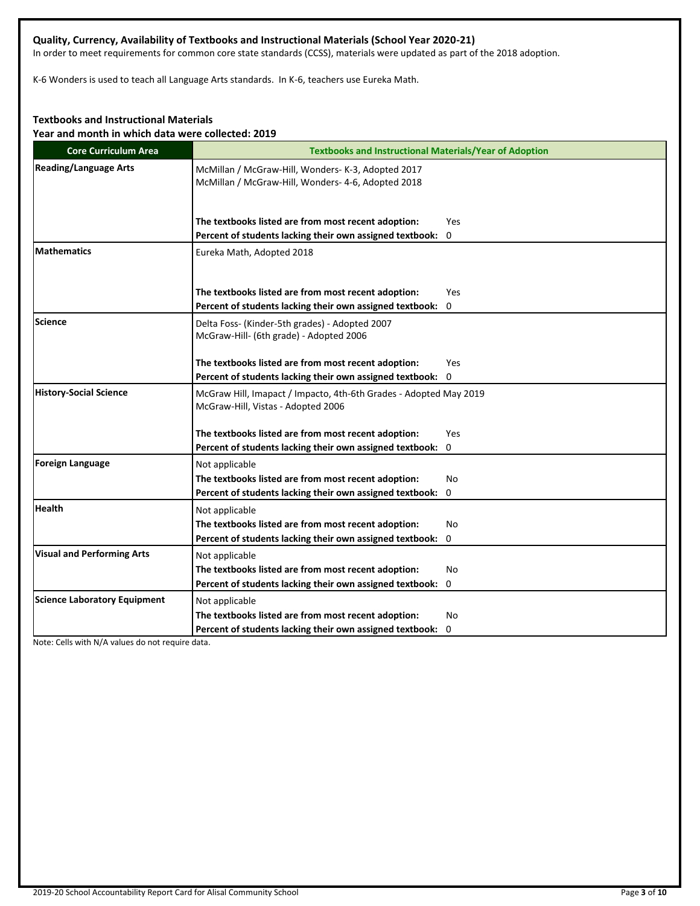## **Quality, Currency, Availability of Textbooks and Instructional Materials (School Year 2020-21)**

In order to meet requirements for common core state standards (CCSS), materials were updated as part of the 2018 adoption.

K-6 Wonders is used to teach all Language Arts standards. In K-6, teachers use Eureka Math.

## **Textbooks and Instructional Materials**

**Year and month in which data were collected: 2019**

| <b>Core Curriculum Area</b>         | <b>Textbooks and Instructional Materials/Year of Adoption</b>                                            |  |  |  |  |
|-------------------------------------|----------------------------------------------------------------------------------------------------------|--|--|--|--|
| <b>Reading/Language Arts</b>        | McMillan / McGraw-Hill, Wonders- K-3, Adopted 2017<br>McMillan / McGraw-Hill, Wonders- 4-6, Adopted 2018 |  |  |  |  |
|                                     | The textbooks listed are from most recent adoption:<br>Yes                                               |  |  |  |  |
|                                     | Percent of students lacking their own assigned textbook: 0                                               |  |  |  |  |
| <b>Mathematics</b>                  | Eureka Math, Adopted 2018                                                                                |  |  |  |  |
|                                     | The textbooks listed are from most recent adoption:<br>Yes                                               |  |  |  |  |
|                                     | Percent of students lacking their own assigned textbook:<br>0                                            |  |  |  |  |
| Science                             | Delta Foss- (Kinder-5th grades) - Adopted 2007<br>McGraw-Hill- (6th grade) - Adopted 2006                |  |  |  |  |
|                                     | The textbooks listed are from most recent adoption:<br>Yes                                               |  |  |  |  |
|                                     | Percent of students lacking their own assigned textbook: 0                                               |  |  |  |  |
| <b>History-Social Science</b>       | McGraw Hill, Imapact / Impacto, 4th-6th Grades - Adopted May 2019<br>McGraw-Hill, Vistas - Adopted 2006  |  |  |  |  |
|                                     | The textbooks listed are from most recent adoption:<br>Yes                                               |  |  |  |  |
|                                     | Percent of students lacking their own assigned textbook: 0                                               |  |  |  |  |
| Foreign Language                    | Not applicable                                                                                           |  |  |  |  |
|                                     | The textbooks listed are from most recent adoption:<br>No                                                |  |  |  |  |
|                                     | Percent of students lacking their own assigned textbook:<br>0                                            |  |  |  |  |
| <b>Health</b>                       | Not applicable                                                                                           |  |  |  |  |
|                                     | The textbooks listed are from most recent adoption:<br>No                                                |  |  |  |  |
|                                     | Percent of students lacking their own assigned textbook: 0                                               |  |  |  |  |
| <b>Visual and Performing Arts</b>   | Not applicable                                                                                           |  |  |  |  |
|                                     | The textbooks listed are from most recent adoption:<br>No                                                |  |  |  |  |
|                                     | Percent of students lacking their own assigned textbook: 0                                               |  |  |  |  |
| <b>Science Laboratory Equipment</b> | Not applicable                                                                                           |  |  |  |  |
|                                     | The textbooks listed are from most recent adoption:<br>No                                                |  |  |  |  |
|                                     | Percent of students lacking their own assigned textbook: 0                                               |  |  |  |  |

Note: Cells with N/A values do not require data.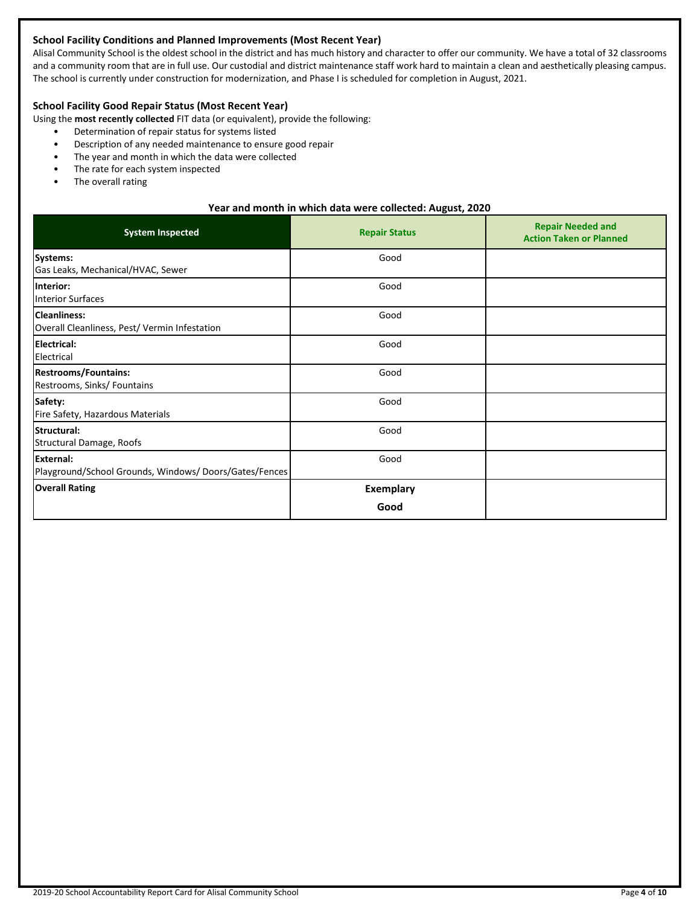## **School Facility Conditions and Planned Improvements (Most Recent Year)**

Alisal Community School is the oldest school in the district and has much history and character to offer our community. We have a total of 32 classrooms and a community room that are in full use. Our custodial and district maintenance staff work hard to maintain a clean and aesthetically pleasing campus. The school is currently under construction for modernization, and Phase I is scheduled for completion in August, 2021.

## **School Facility Good Repair Status (Most Recent Year)**

Using the **most recently collected** FIT data (or equivalent), provide the following:

- Determination of repair status for systems listed
- Description of any needed maintenance to ensure good repair
- The year and month in which the data were collected
- The rate for each system inspected
- The overall rating

#### **Year and month in which data were collected: August, 2020**

| <b>System Inspected</b>                                                   | <b>Repair Status</b>     | <b>Repair Needed and</b><br><b>Action Taken or Planned</b> |
|---------------------------------------------------------------------------|--------------------------|------------------------------------------------------------|
| Systems:<br>Gas Leaks, Mechanical/HVAC, Sewer                             | Good                     |                                                            |
| Interior:<br><b>Interior Surfaces</b>                                     | Good                     |                                                            |
| <b>Cleanliness:</b><br>Overall Cleanliness, Pest/ Vermin Infestation      | Good                     |                                                            |
| <b>Electrical:</b><br>Electrical                                          | Good                     |                                                            |
| <b>Restrooms/Fountains:</b><br>Restrooms, Sinks/ Fountains                | Good                     |                                                            |
| Safety:<br>Fire Safety, Hazardous Materials                               | Good                     |                                                            |
| Structural:<br>Structural Damage, Roofs                                   | Good                     |                                                            |
| <b>External:</b><br>Playground/School Grounds, Windows/Doors/Gates/Fences | Good                     |                                                            |
| <b>Overall Rating</b>                                                     | <b>Exemplary</b><br>Good |                                                            |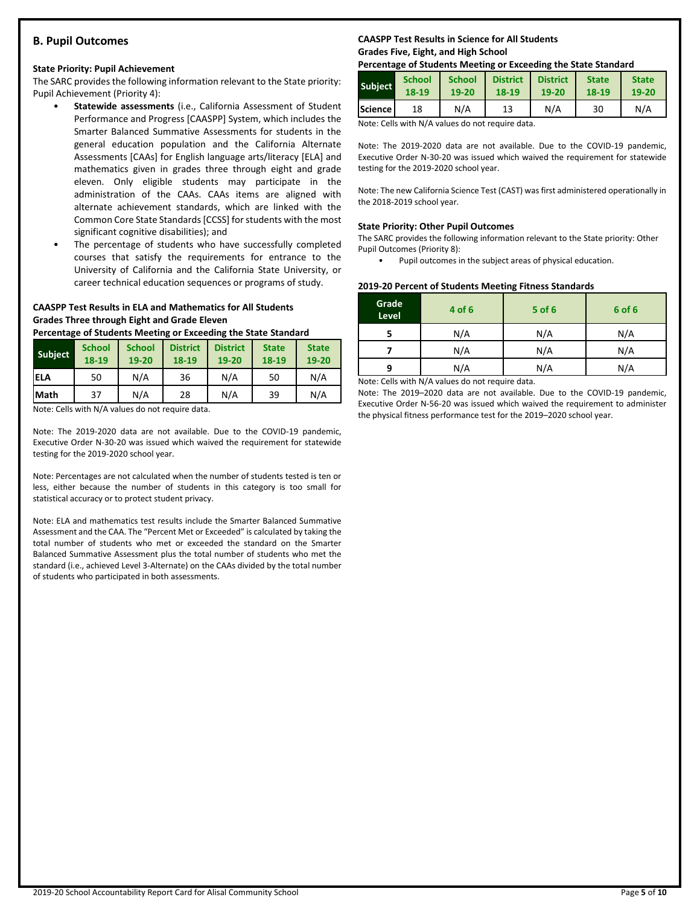## **B. Pupil Outcomes**

#### **State Priority: Pupil Achievement**

The SARC provides the following information relevant to the State priority: Pupil Achievement (Priority 4):

- **Statewide assessments** (i.e., California Assessment of Student Performance and Progress [CAASPP] System, which includes the Smarter Balanced Summative Assessments for students in the general education population and the California Alternate Assessments [CAAs] for English language arts/literacy [ELA] and mathematics given in grades three through eight and grade eleven. Only eligible students may participate in the administration of the CAAs. CAAs items are aligned with alternate achievement standards, which are linked with the Common Core State Standards [CCSS] for students with the most significant cognitive disabilities); and
- The percentage of students who have successfully completed courses that satisfy the requirements for entrance to the University of California and the California State University, or career technical education sequences or programs of study.

#### **CAASPP Test Results in ELA and Mathematics for All Students Grades Three through Eight and Grade Eleven**

**Percentage of Students Meeting or Exceeding the State Standard**

| <b>Subject</b> | <b>School</b><br>18-19 | <b>School</b><br>$19 - 20$ | <b>District</b><br>18-19 | <b>District</b><br>$19 - 20$ | <b>State</b><br>18-19 | <b>State</b><br>19-20 |
|----------------|------------------------|----------------------------|--------------------------|------------------------------|-----------------------|-----------------------|
| <b>IELA</b>    | 50                     | N/A                        | 36                       | N/A                          | 50                    | N/A                   |
| <b>Math</b>    | 37                     | N/A                        | 28                       | N/A                          | 39                    | N/A                   |

Note: Cells with N/A values do not require data.

Note: The 2019-2020 data are not available. Due to the COVID-19 pandemic, Executive Order N-30-20 was issued which waived the requirement for statewide testing for the 2019-2020 school year.

Note: Percentages are not calculated when the number of students tested is ten or less, either because the number of students in this category is too small for statistical accuracy or to protect student privacy.

Note: ELA and mathematics test results include the Smarter Balanced Summative Assessment and the CAA. The "Percent Met or Exceeded" is calculated by taking the total number of students who met or exceeded the standard on the Smarter Balanced Summative Assessment plus the total number of students who met the standard (i.e., achieved Level 3-Alternate) on the CAAs divided by the total number of students who participated in both assessments.

## **CAASPP Test Results in Science for All Students Grades Five, Eight, and High School**

#### **Percentage of Students Meeting or Exceeding the State Standard**

| <b>Subject</b> | <b>School</b> | <b>School</b> | <b>District</b> | <b>District</b> | <b>State</b> | <b>State</b> |
|----------------|---------------|---------------|-----------------|-----------------|--------------|--------------|
|                | 18-19         | 19-20         | 18-19           | $19 - 20$       | 18-19        | 19-20        |
| <b>Science</b> | 18            | N/A           | 13              | N/A             | 30           | N/A          |

Note: Cells with N/A values do not require data.

Note: The 2019-2020 data are not available. Due to the COVID-19 pandemic, Executive Order N-30-20 was issued which waived the requirement for statewide testing for the 2019-2020 school year.

Note: The new California Science Test (CAST) was first administered operationally in the 2018-2019 school year.

#### **State Priority: Other Pupil Outcomes**

The SARC provides the following information relevant to the State priority: Other Pupil Outcomes (Priority 8):

• Pupil outcomes in the subject areas of physical education.

#### **2019-20 Percent of Students Meeting Fitness Standards**

| Grade<br>Level | 4 of 6                                                                                                                                                                                                                                    | $5$ of 6 | 6 of 6 |
|----------------|-------------------------------------------------------------------------------------------------------------------------------------------------------------------------------------------------------------------------------------------|----------|--------|
|                | N/A                                                                                                                                                                                                                                       | N/A      | N/A    |
|                | N/A                                                                                                                                                                                                                                       | N/A      | N/A    |
| q              | N/A                                                                                                                                                                                                                                       | N/A      | N/A    |
|                | $\mathbf{A}$ is a set of $\mathbf{A}$ if the set of $\mathbf{A}$ and is a set of the set of the set of the set of the set of the set of the set of the set of the set of the set of the set of the set of the set of the set of the set o |          |        |

Note: Cells with N/A values do not require data.

Note: The 2019–2020 data are not available. Due to the COVID-19 pandemic, Executive Order N-56-20 was issued which waived the requirement to administer the physical fitness performance test for the 2019–2020 school year.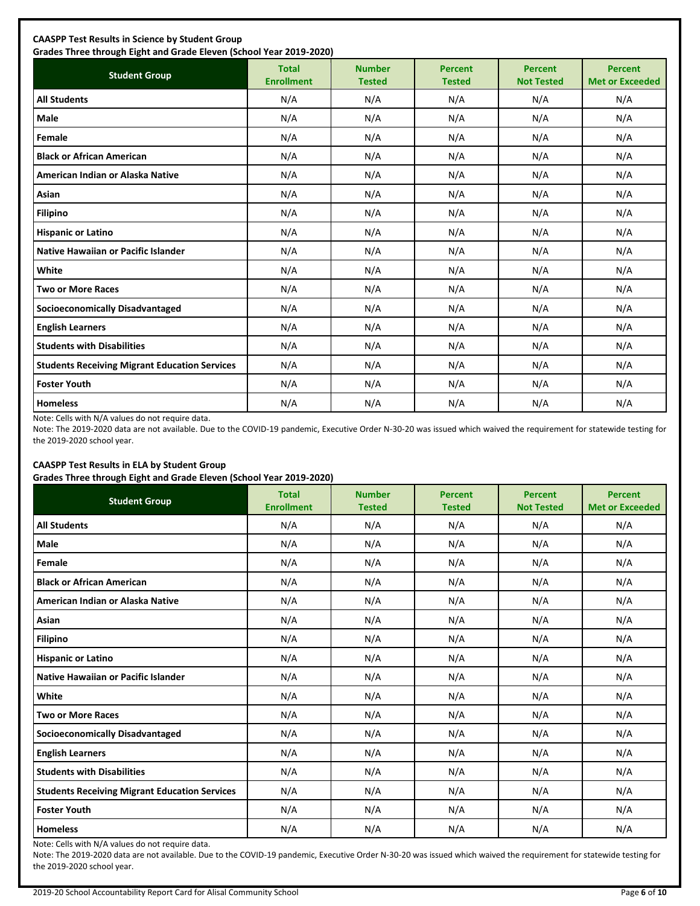| <b>Student Group</b>                                 | <b>Total</b><br><b>Enrollment</b> | <b>Number</b><br><b>Tested</b> | <b>Percent</b><br><b>Tested</b> | <b>Percent</b><br><b>Not Tested</b> | <b>Percent</b><br><b>Met or Exceeded</b> |
|------------------------------------------------------|-----------------------------------|--------------------------------|---------------------------------|-------------------------------------|------------------------------------------|
| <b>All Students</b>                                  | N/A                               | N/A                            | N/A                             | N/A                                 | N/A                                      |
| Male                                                 | N/A                               | N/A                            | N/A                             | N/A                                 | N/A                                      |
| Female                                               | N/A                               | N/A                            | N/A                             | N/A                                 | N/A                                      |
| <b>Black or African American</b>                     | N/A                               | N/A                            | N/A                             | N/A                                 | N/A                                      |
| American Indian or Alaska Native                     | N/A                               | N/A                            | N/A                             | N/A                                 | N/A                                      |
| Asian                                                | N/A                               | N/A                            | N/A                             | N/A                                 | N/A                                      |
| <b>Filipino</b>                                      | N/A                               | N/A                            | N/A                             | N/A                                 | N/A                                      |
| <b>Hispanic or Latino</b>                            | N/A                               | N/A                            | N/A                             | N/A                                 | N/A                                      |
| <b>Native Hawaiian or Pacific Islander</b>           | N/A                               | N/A                            | N/A                             | N/A                                 | N/A                                      |
| White                                                | N/A                               | N/A                            | N/A                             | N/A                                 | N/A                                      |
| <b>Two or More Races</b>                             | N/A                               | N/A                            | N/A                             | N/A                                 | N/A                                      |
| <b>Socioeconomically Disadvantaged</b>               | N/A                               | N/A                            | N/A                             | N/A                                 | N/A                                      |
| <b>English Learners</b>                              | N/A                               | N/A                            | N/A                             | N/A                                 | N/A                                      |
| <b>Students with Disabilities</b>                    | N/A                               | N/A                            | N/A                             | N/A                                 | N/A                                      |
| <b>Students Receiving Migrant Education Services</b> | N/A                               | N/A                            | N/A                             | N/A                                 | N/A                                      |
| <b>Foster Youth</b>                                  | N/A                               | N/A                            | N/A                             | N/A                                 | N/A                                      |
| <b>Homeless</b>                                      | N/A                               | N/A                            | N/A                             | N/A                                 | N/A                                      |

Note: Cells with N/A values do not require data.

Note: The 2019-2020 data are not available. Due to the COVID-19 pandemic, Executive Order N-30-20 was issued which waived the requirement for statewide testing for the 2019-2020 school year.

## **CAASPP Test Results in ELA by Student Group**

**Grades Three through Eight and Grade Eleven (School Year 2019-2020)**

| <b>Student Group</b>                                 | <b>Total</b><br><b>Enrollment</b> | <b>Number</b><br><b>Tested</b> | <b>Percent</b><br><b>Tested</b> | <b>Percent</b><br><b>Not Tested</b> | <b>Percent</b><br><b>Met or Exceeded</b> |
|------------------------------------------------------|-----------------------------------|--------------------------------|---------------------------------|-------------------------------------|------------------------------------------|
| <b>All Students</b>                                  | N/A                               | N/A                            | N/A                             | N/A                                 | N/A                                      |
| Male                                                 | N/A                               | N/A                            | N/A                             | N/A                                 | N/A                                      |
| Female                                               | N/A                               | N/A                            | N/A                             | N/A                                 | N/A                                      |
| <b>Black or African American</b>                     | N/A                               | N/A                            | N/A                             | N/A                                 | N/A                                      |
| American Indian or Alaska Native                     | N/A                               | N/A                            | N/A                             | N/A                                 | N/A                                      |
| Asian                                                | N/A                               | N/A                            | N/A                             | N/A                                 | N/A                                      |
| <b>Filipino</b>                                      | N/A                               | N/A                            | N/A                             | N/A                                 | N/A                                      |
| <b>Hispanic or Latino</b>                            | N/A                               | N/A                            | N/A                             | N/A                                 | N/A                                      |
| Native Hawaiian or Pacific Islander                  | N/A                               | N/A                            | N/A                             | N/A                                 | N/A                                      |
| White                                                | N/A                               | N/A                            | N/A                             | N/A                                 | N/A                                      |
| <b>Two or More Races</b>                             | N/A                               | N/A                            | N/A                             | N/A                                 | N/A                                      |
| <b>Socioeconomically Disadvantaged</b>               | N/A                               | N/A                            | N/A                             | N/A                                 | N/A                                      |
| <b>English Learners</b>                              | N/A                               | N/A                            | N/A                             | N/A                                 | N/A                                      |
| <b>Students with Disabilities</b>                    | N/A                               | N/A                            | N/A                             | N/A                                 | N/A                                      |
| <b>Students Receiving Migrant Education Services</b> | N/A                               | N/A                            | N/A                             | N/A                                 | N/A                                      |
| <b>Foster Youth</b>                                  | N/A                               | N/A                            | N/A                             | N/A                                 | N/A                                      |
| <b>Homeless</b>                                      | N/A                               | N/A                            | N/A                             | N/A                                 | N/A                                      |

Note: Cells with N/A values do not require data.

Note: The 2019-2020 data are not available. Due to the COVID-19 pandemic, Executive Order N-30-20 was issued which waived the requirement for statewide testing for the 2019-2020 school year.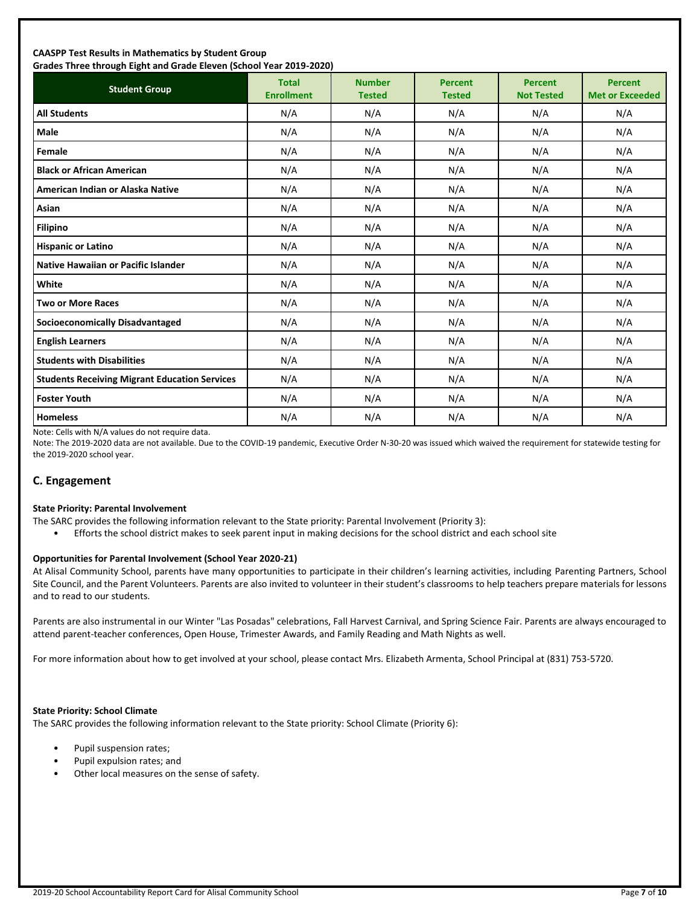#### **CAASPP Test Results in Mathematics by Student Group Grades Three through Eight and Grade Eleven (School Year 2019-2020)**

| andes mice unbagn agut ana draac acten (benoor rear 2015 2020)<br><b>Student Group</b> | <b>Total</b><br><b>Enrollment</b> | <b>Number</b><br><b>Tested</b> | <b>Percent</b><br><b>Tested</b> | <b>Percent</b><br><b>Not Tested</b> | <b>Percent</b><br><b>Met or Exceeded</b> |
|----------------------------------------------------------------------------------------|-----------------------------------|--------------------------------|---------------------------------|-------------------------------------|------------------------------------------|
| <b>All Students</b>                                                                    | N/A                               | N/A                            | N/A                             | N/A                                 | N/A                                      |
| <b>Male</b>                                                                            | N/A                               | N/A                            | N/A                             | N/A                                 | N/A                                      |
| Female                                                                                 | N/A                               | N/A                            | N/A                             | N/A                                 | N/A                                      |
| <b>Black or African American</b>                                                       | N/A                               | N/A                            | N/A                             | N/A                                 | N/A                                      |
| American Indian or Alaska Native                                                       | N/A                               | N/A                            | N/A                             | N/A                                 | N/A                                      |
| Asian                                                                                  | N/A                               | N/A                            | N/A                             | N/A                                 | N/A                                      |
| Filipino                                                                               | N/A                               | N/A                            | N/A                             | N/A                                 | N/A                                      |
| <b>Hispanic or Latino</b>                                                              | N/A                               | N/A                            | N/A                             | N/A                                 | N/A                                      |
| <b>Native Hawaiian or Pacific Islander</b>                                             | N/A                               | N/A                            | N/A                             | N/A                                 | N/A                                      |
| White                                                                                  | N/A                               | N/A                            | N/A                             | N/A                                 | N/A                                      |
| <b>Two or More Races</b>                                                               | N/A                               | N/A                            | N/A                             | N/A                                 | N/A                                      |
| <b>Socioeconomically Disadvantaged</b>                                                 | N/A                               | N/A                            | N/A                             | N/A                                 | N/A                                      |
| <b>English Learners</b>                                                                | N/A                               | N/A                            | N/A                             | N/A                                 | N/A                                      |
| <b>Students with Disabilities</b>                                                      | N/A                               | N/A                            | N/A                             | N/A                                 | N/A                                      |
| <b>Students Receiving Migrant Education Services</b>                                   | N/A                               | N/A                            | N/A                             | N/A                                 | N/A                                      |
| <b>Foster Youth</b>                                                                    | N/A                               | N/A                            | N/A                             | N/A                                 | N/A                                      |
| <b>Homeless</b>                                                                        | N/A                               | N/A                            | N/A                             | N/A                                 | N/A                                      |

Note: Cells with N/A values do not require data.

Note: The 2019-2020 data are not available. Due to the COVID-19 pandemic, Executive Order N-30-20 was issued which waived the requirement for statewide testing for the 2019-2020 school year.

## **C. Engagement**

#### **State Priority: Parental Involvement**

- The SARC provides the following information relevant to the State priority: Parental Involvement (Priority 3):
	- Efforts the school district makes to seek parent input in making decisions for the school district and each school site

#### **Opportunities for Parental Involvement (School Year 2020-21)**

At Alisal Community School, parents have many opportunities to participate in their children's learning activities, including Parenting Partners, School Site Council, and the Parent Volunteers. Parents are also invited to volunteer in their student's classrooms to help teachers prepare materials for lessons and to read to our students.

Parents are also instrumental in our Winter "Las Posadas" celebrations, Fall Harvest Carnival, and Spring Science Fair. Parents are always encouraged to attend parent-teacher conferences, Open House, Trimester Awards, and Family Reading and Math Nights as well.

For more information about how to get involved at your school, please contact Mrs. Elizabeth Armenta, School Principal at (831) 753-5720.

#### **State Priority: School Climate**

The SARC provides the following information relevant to the State priority: School Climate (Priority 6):

- Pupil suspension rates;
- Pupil expulsion rates; and
- Other local measures on the sense of safety.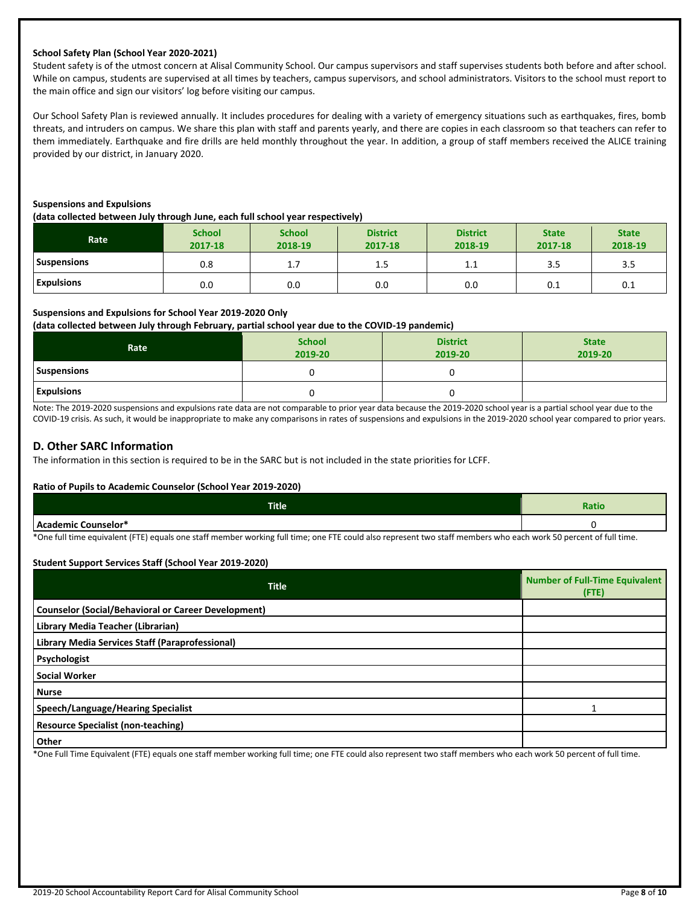#### **School Safety Plan (School Year 2020-2021)**

Student safety is of the utmost concern at Alisal Community School. Our campus supervisors and staff supervises students both before and after school. While on campus, students are supervised at all times by teachers, campus supervisors, and school administrators. Visitors to the school must report to the main office and sign our visitors' log before visiting our campus.

Our School Safety Plan is reviewed annually. It includes procedures for dealing with a variety of emergency situations such as earthquakes, fires, bomb threats, and intruders on campus. We share this plan with staff and parents yearly, and there are copies in each classroom so that teachers can refer to them immediately. Earthquake and fire drills are held monthly throughout the year. In addition, a group of staff members received the ALICE training provided by our district, in January 2020.

#### **Suspensions and Expulsions**

**(data collected between July through June, each full school year respectively)**

| Rate               | <b>School</b><br>2017-18 | <b>School</b><br>2018-19 | <b>District</b><br>2017-18 | <b>District</b><br>2018-19 | <b>State</b><br>2017-18 | <b>State</b><br>2018-19 |
|--------------------|--------------------------|--------------------------|----------------------------|----------------------------|-------------------------|-------------------------|
| <b>Suspensions</b> | 0.8                      | <b></b>                  | 1.5                        | <b></b>                    | 3.5                     | 3.5                     |
| <b>Expulsions</b>  | 0.0                      | 0.0                      | 0.0                        | 0.0                        | 0.1                     | 0.1                     |

#### **Suspensions and Expulsions for School Year 2019-2020 Only**

**(data collected between July through February, partial school year due to the COVID-19 pandemic)**

| Rate              | <b>School</b><br>2019-20 | <b>District</b><br>2019-20 | <b>State</b><br>2019-20 |
|-------------------|--------------------------|----------------------------|-------------------------|
| Suspensions       |                          |                            |                         |
| <b>Expulsions</b> |                          |                            |                         |

Note: The 2019-2020 suspensions and expulsions rate data are not comparable to prior year data because the 2019-2020 school year is a partial school year due to the COVID-19 crisis. As such, it would be inappropriate to make any comparisons in rates of suspensions and expulsions in the 2019-2020 school year compared to prior years.

## **D. Other SARC Information**

The information in this section is required to be in the SARC but is not included in the state priorities for LCFF.

#### **Ratio of Pupils to Academic Counselor (School Year 2019-2020)**

| <b>Title</b> | Ratio |
|--------------|-------|
| . Counselor* |       |

\*One full time equivalent (FTE) equals one staff member working full time; one FTE could also represent two staff members who each work 50 percent of full time.

#### **Student Support Services Staff (School Year 2019-2020)**

| <b>Title</b>                                               | <b>Number of Full-Time Equivalent</b><br>(FTE) |
|------------------------------------------------------------|------------------------------------------------|
| <b>Counselor (Social/Behavioral or Career Development)</b> |                                                |
| Library Media Teacher (Librarian)                          |                                                |
| Library Media Services Staff (Paraprofessional)            |                                                |
| Psychologist                                               |                                                |
| <b>Social Worker</b>                                       |                                                |
| <b>Nurse</b>                                               |                                                |
| Speech/Language/Hearing Specialist                         |                                                |
| <b>Resource Specialist (non-teaching)</b>                  |                                                |
| <b>Other</b>                                               |                                                |

\*One Full Time Equivalent (FTE) equals one staff member working full time; one FTE could also represent two staff members who each work 50 percent of full time.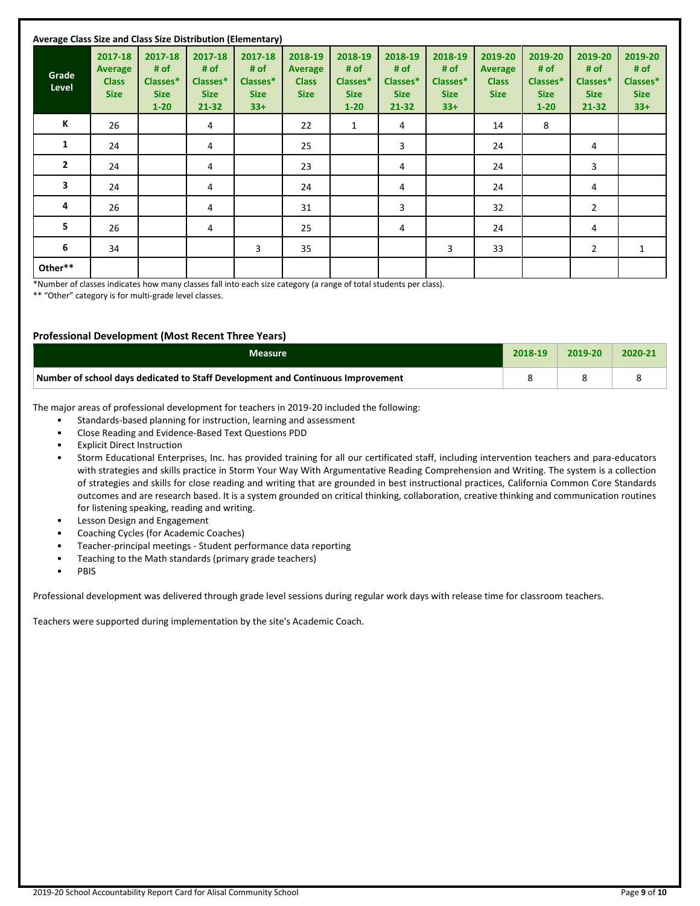| Average Class Size and Class Size Distribution (Elementary) |                                                   |                                                        |                                                         |                                                     |                                                          |                                                        |                                                         |                                                     |                                                          |                                                        |                                                         |                                                     |
|-------------------------------------------------------------|---------------------------------------------------|--------------------------------------------------------|---------------------------------------------------------|-----------------------------------------------------|----------------------------------------------------------|--------------------------------------------------------|---------------------------------------------------------|-----------------------------------------------------|----------------------------------------------------------|--------------------------------------------------------|---------------------------------------------------------|-----------------------------------------------------|
| Grade<br>Level                                              | 2017-18<br>Average<br><b>Class</b><br><b>Size</b> | 2017-18<br># of<br>Classes*<br><b>Size</b><br>$1 - 20$ | 2017-18<br># of<br>Classes*<br><b>Size</b><br>$21 - 32$ | 2017-18<br># of<br>Classes*<br><b>Size</b><br>$33+$ | 2018-19<br><b>Average</b><br><b>Class</b><br><b>Size</b> | 2018-19<br># of<br>Classes*<br><b>Size</b><br>$1 - 20$ | 2018-19<br># of<br>Classes*<br><b>Size</b><br>$21 - 32$ | 2018-19<br># of<br>Classes*<br><b>Size</b><br>$33+$ | 2019-20<br><b>Average</b><br><b>Class</b><br><b>Size</b> | 2019-20<br># of<br>Classes*<br><b>Size</b><br>$1 - 20$ | 2019-20<br># of<br>Classes*<br><b>Size</b><br>$21 - 32$ | 2019-20<br># of<br>Classes*<br><b>Size</b><br>$33+$ |
| К                                                           | 26                                                |                                                        | 4                                                       |                                                     | 22                                                       | $\mathbf{1}$                                           | 4                                                       |                                                     | 14                                                       | 8                                                      |                                                         |                                                     |
| 1                                                           | 24                                                |                                                        | 4                                                       |                                                     | 25                                                       |                                                        | 3                                                       |                                                     | 24                                                       |                                                        | 4                                                       |                                                     |
| $\overline{2}$                                              | 24                                                |                                                        | 4                                                       |                                                     | 23                                                       |                                                        | 4                                                       |                                                     | 24                                                       |                                                        | 3                                                       |                                                     |
| 3                                                           | 24                                                |                                                        | 4                                                       |                                                     | 24                                                       |                                                        | 4                                                       |                                                     | 24                                                       |                                                        | 4                                                       |                                                     |
| 4                                                           | 26                                                |                                                        | 4                                                       |                                                     | 31                                                       |                                                        | 3                                                       |                                                     | 32                                                       |                                                        | 2                                                       |                                                     |
| 5                                                           | 26                                                |                                                        | 4                                                       |                                                     | 25                                                       |                                                        | 4                                                       |                                                     | 24                                                       |                                                        | 4                                                       |                                                     |
| 6                                                           | 34                                                |                                                        |                                                         | 3                                                   | 35                                                       |                                                        |                                                         | 3                                                   | 33                                                       |                                                        | $\overline{2}$                                          | 1                                                   |
| Other**                                                     |                                                   |                                                        |                                                         |                                                     |                                                          |                                                        |                                                         |                                                     |                                                          |                                                        |                                                         |                                                     |

\*Number of classes indicates how many classes fall into each size category (a range of total students per class).

\*\* "Other" category is for multi-grade level classes.

#### **Professional Development (Most Recent Three Years)**

| Measure                                                                         | 2018-19 | 2019-20 | 2020-2 |
|---------------------------------------------------------------------------------|---------|---------|--------|
| Number of school days dedicated to Staff Development and Continuous Improvement |         |         |        |

The major areas of professional development for teachers in 2019-20 included the following:

- Standards-based planning for instruction, learning and assessment
- Close Reading and Evidence-Based Text Questions PDD
- **Explicit Direct Instruction**
- Storm Educational Enterprises, Inc. has provided training for all our certificated staff, including intervention teachers and para-educators with strategies and skills practice in Storm Your Way With Argumentative Reading Comprehension and Writing. The system is a collection of strategies and skills for close reading and writing that are grounded in best instructional practices, California Common Core Standards outcomes and are research based. It is a system grounded on critical thinking, collaboration, creative thinking and communication routines for listening speaking, reading and writing.
- Lesson Design and Engagement
- Coaching Cycles (for Academic Coaches)
- Teacher-principal meetings Student performance data reporting
- Teaching to the Math standards (primary grade teachers)
- PBIS

Professional development was delivered through grade level sessions during regular work days with release time for classroom teachers.

Teachers were supported during implementation by the site's Academic Coach.